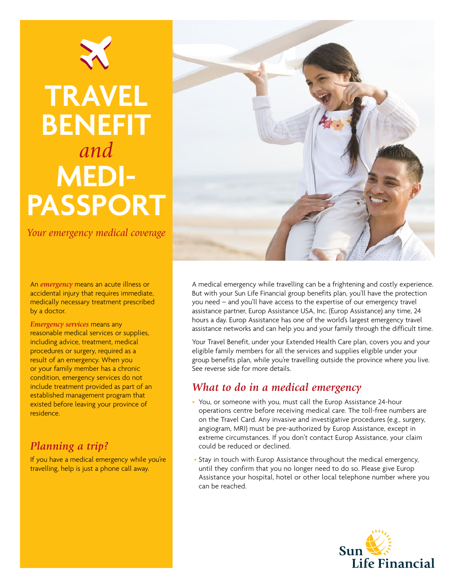

# **Travel Benefit** *and*  **Medipassport**

*Your emergency medical coverage*

An *emergency* means an acute illness or accidental injury that requires immediate, medically necessary treatment prescribed by a doctor.

*Emergency services* means any reasonable medical services or supplies, including advice, treatment, medical procedures or surgery, required as a result of an emergency. When you or your family member has a chronic condition, emergency services do not include treatment provided as part of an established management program that existed before leaving your province of residence.

## *Planning a trip?*

If you have a medical emergency while you're travelling, help is just a phone call away.



A medical emergency while travelling can be a frightening and costly experience. But with your Sun Life Financial group benefits plan, you'll have the protection you need – and you'll have access to the expertise of our emergency travel assistance partner, Europ Assistance USA, Inc. (Europ Assistance) any time, 24 hours a day. Europ Assistance has one of the world's largest emergency travel assistance networks and can help you and your family through the difficult time.

Your Travel Benefit, under your Extended Health Care plan, covers you and your eligible family members for all the services and supplies eligible under your group benefits plan, while you're travelling outside the province where you live. See reverse side for more details.

## *What to do in a medical emergency*

- You, or someone with you, must call the Europ Assistance 24-hour operations centre before receiving medical care. The toll-free numbers are on the Travel Card. Any invasive and investigative procedures (e.g., surgery, angiogram, MRI) must be pre-authorized by Europ Assistance, except in extreme circumstances. If you don't contact Europ Assistance, your claim could be reduced or declined.
- Stay in touch with Europ Assistance throughout the medical emergency, until they confirm that you no longer need to do so. Please give Europ Assistance your hospital, hotel or other local telephone number where you can be reached.